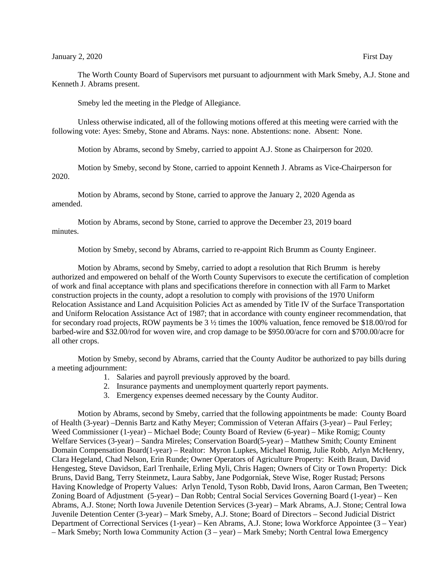Smeby led the meeting in the Pledge of Allegiance.

Unless otherwise indicated, all of the following motions offered at this meeting were carried with the following vote: Ayes: Smeby, Stone and Abrams. Nays: none. Abstentions: none. Absent: None.

Motion by Abrams, second by Smeby, carried to appoint A.J. Stone as Chairperson for 2020.

Motion by Smeby, second by Stone, carried to appoint Kenneth J. Abrams as Vice-Chairperson for 2020.

Motion by Abrams, second by Stone, carried to approve the January 2, 2020 Agenda as amended.

Motion by Abrams, second by Stone, carried to approve the December 23, 2019 board minutes.

Motion by Smeby, second by Abrams, carried to re-appoint Rich Brumm as County Engineer.

Motion by Abrams, second by Smeby, carried to adopt a resolution that Rich Brumm is hereby authorized and empowered on behalf of the Worth County Supervisors to execute the certification of completion of work and final acceptance with plans and specifications therefore in connection with all Farm to Market construction projects in the county, adopt a resolution to comply with provisions of the 1970 Uniform Relocation Assistance and Land Acquisition Policies Act as amended by Title IV of the Surface Transportation and Uniform Relocation Assistance Act of 1987; that in accordance with county engineer recommendation, that for secondary road projects, ROW payments be 3 ½ times the 100% valuation, fence removed be \$18.00/rod for barbed-wire and \$32.00/rod for woven wire, and crop damage to be \$950.00/acre for corn and \$700.00/acre for all other crops.

Motion by Smeby, second by Abrams, carried that the County Auditor be authorized to pay bills during a meeting adjournment:

- 1. Salaries and payroll previously approved by the board.
- 2. Insurance payments and unemployment quarterly report payments.
- 3. Emergency expenses deemed necessary by the County Auditor.

Motion by Abrams, second by Smeby, carried that the following appointments be made: County Board of Health (3-year) –Dennis Bartz and Kathy Meyer; Commission of Veteran Affairs (3-year) – Paul Ferley; Weed Commissioner (1-year) – Michael Bode; County Board of Review (6-year) – Mike Romig; County Welfare Services (3-year) – Sandra Mireles; Conservation Board(5-year) – Matthew Smith; County Eminent Domain Compensation Board(1-year) – Realtor: Myron Lupkes, Michael Romig, Julie Robb, Arlyn McHenry, Clara Hegeland, Chad Nelson, Erin Runde; Owner Operators of Agriculture Property: Keith Braun, David Hengesteg, Steve Davidson, Earl Trenhaile, Erling Myli, Chris Hagen; Owners of City or Town Property: Dick Bruns, David Bang, Terry Steinmetz, Laura Sabby, Jane Podgorniak, Steve Wise, Roger Rustad; Persons Having Knowledge of Property Values: Arlyn Tenold, Tyson Robb, David Irons, Aaron Carman, Ben Tweeten; Zoning Board of Adjustment (5-year) – Dan Robb; Central Social Services Governing Board (1-year) – Ken Abrams, A.J. Stone; North Iowa Juvenile Detention Services (3-year) – Mark Abrams, A.J. Stone; Central Iowa Juvenile Detention Center (3-year) – Mark Smeby, A.J. Stone; Board of Directors – Second Judicial District Department of Correctional Services (1-year) – Ken Abrams, A.J. Stone; Iowa Workforce Appointee (3 – Year) – Mark Smeby; North Iowa Community Action (3 – year) – Mark Smeby; North Central Iowa Emergency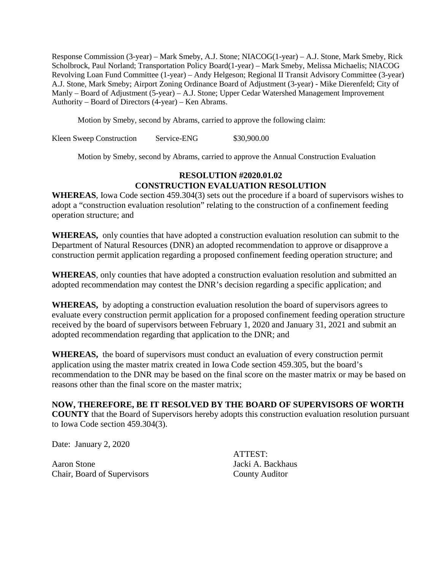Response Commission (3-year) – Mark Smeby, A.J. Stone; NIACOG(1-year) – A.J. Stone, Mark Smeby, Rick Scholbrock, Paul Norland; Transportation Policy Board(1-year) – Mark Smeby, Melissa Michaelis; NIACOG Revolving Loan Fund Committee (1-year) – Andy Helgeson; Regional II Transit Advisory Committee (3-year) A.J. Stone, Mark Smeby; Airport Zoning Ordinance Board of Adjustment (3-year) - Mike Dierenfeld; City of Manly – Board of Adjustment (5-year) – A.J. Stone; Upper Cedar Watershed Management Improvement Authority – Board of Directors (4-year) – Ken Abrams.

Motion by Smeby, second by Abrams, carried to approve the following claim:

Kleen Sweep Construction Service-ENG \$30,900.00

Motion by Smeby, second by Abrams, carried to approve the Annual Construction Evaluation

## **RESOLUTION #2020.01.02 CONSTRUCTION EVALUATION RESOLUTION**

**WHEREAS**, Iowa Code section 459.304(3) sets out the procedure if a board of supervisors wishes to adopt a "construction evaluation resolution" relating to the construction of a confinement feeding operation structure; and

**WHEREAS,** only counties that have adopted a construction evaluation resolution can submit to the Department of Natural Resources (DNR) an adopted recommendation to approve or disapprove a construction permit application regarding a proposed confinement feeding operation structure; and

**WHEREAS**, only counties that have adopted a construction evaluation resolution and submitted an adopted recommendation may contest the DNR's decision regarding a specific application; and

**WHEREAS,** by adopting a construction evaluation resolution the board of supervisors agrees to evaluate every construction permit application for a proposed confinement feeding operation structure received by the board of supervisors between February 1, 2020 and January 31, 2021 and submit an adopted recommendation regarding that application to the DNR; and

**WHEREAS,** the board of supervisors must conduct an evaluation of every construction permit application using the master matrix created in Iowa Code section 459.305, but the board's recommendation to the DNR may be based on the final score on the master matrix or may be based on reasons other than the final score on the master matrix;

## **NOW, THEREFORE, BE IT RESOLVED BY THE BOARD OF SUPERVISORS OF WORTH COUNTY** that the Board of Supervisors hereby adopts this construction evaluation resolution pursuant to Iowa Code section 459.304(3).

Date: January 2, 2020

Aaron Stone Jacki A. Backhaus Chair, Board of Supervisors County Auditor

ATTEST: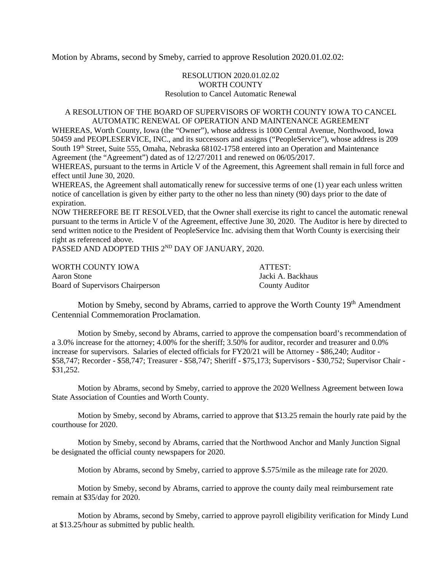Motion by Abrams, second by Smeby, carried to approve Resolution 2020.01.02.02:

## RESOLUTION 2020.01.02.02 WORTH COUNTY Resolution to Cancel Automatic Renewal

## A RESOLUTION OF THE BOARD OF SUPERVISORS OF WORTH COUNTY IOWA TO CANCEL AUTOMATIC RENEWAL OF OPERATION AND MAINTENANCE AGREEMENT

WHEREAS, Worth County, Iowa (the "Owner"), whose address is 1000 Central Avenue, Northwood, Iowa 50459 and PEOPLESERVICE, INC., and its successors and assigns ("PeopleService"), whose address is 209 South 19<sup>th</sup> Street, Suite 555, Omaha, Nebraska 68102-1758 entered into an Operation and Maintenance Agreement (the "Agreement") dated as of 12/27/2011 and renewed on 06/05/2017.

WHEREAS, pursuant to the terms in Article V of the Agreement, this Agreement shall remain in full force and effect until June 30, 2020.

WHEREAS, the Agreement shall automatically renew for successive terms of one (1) year each unless written notice of cancellation is given by either party to the other no less than ninety (90) days prior to the date of expiration.

NOW THEREFORE BE IT RESOLVED, that the Owner shall exercise its right to cancel the automatic renewal pursuant to the terms in Article V of the Agreement, effective June 30, 2020. The Auditor is here by directed to send written notice to the President of PeopleService Inc. advising them that Worth County is exercising their right as referenced above.

PASSED AND ADOPTED THIS 2<sup>ND</sup> DAY OF JANUARY, 2020.

| WORTH COUNTY IOWA                | ATTEST:               |
|----------------------------------|-----------------------|
| Aaron Stone                      | Jacki A. Backhaus     |
| Board of Supervisors Chairperson | <b>County Auditor</b> |

Motion by Smeby, second by Abrams, carried to approve the Worth County 19<sup>th</sup> Amendment Centennial Commemoration Proclamation.

Motion by Smeby, second by Abrams, carried to approve the compensation board's recommendation of a 3.0% increase for the attorney; 4.00% for the sheriff; 3.50% for auditor, recorder and treasurer and 0.0% increase for supervisors. Salaries of elected officials for FY20/21 will be Attorney - \$86,240; Auditor - \$58,747; Recorder - \$58,747; Treasurer - \$58,747; Sheriff - \$75,173; Supervisors - \$30,752; Supervisor Chair - \$31,252.

Motion by Abrams, second by Smeby, carried to approve the 2020 Wellness Agreement between Iowa State Association of Counties and Worth County.

Motion by Smeby, second by Abrams, carried to approve that \$13.25 remain the hourly rate paid by the courthouse for 2020.

Motion by Smeby, second by Abrams, carried that the Northwood Anchor and Manly Junction Signal be designated the official county newspapers for 2020.

Motion by Abrams, second by Smeby, carried to approve \$.575/mile as the mileage rate for 2020.

Motion by Smeby, second by Abrams, carried to approve the county daily meal reimbursement rate remain at \$35/day for 2020.

Motion by Abrams, second by Smeby, carried to approve payroll eligibility verification for Mindy Lund at \$13.25/hour as submitted by public health.